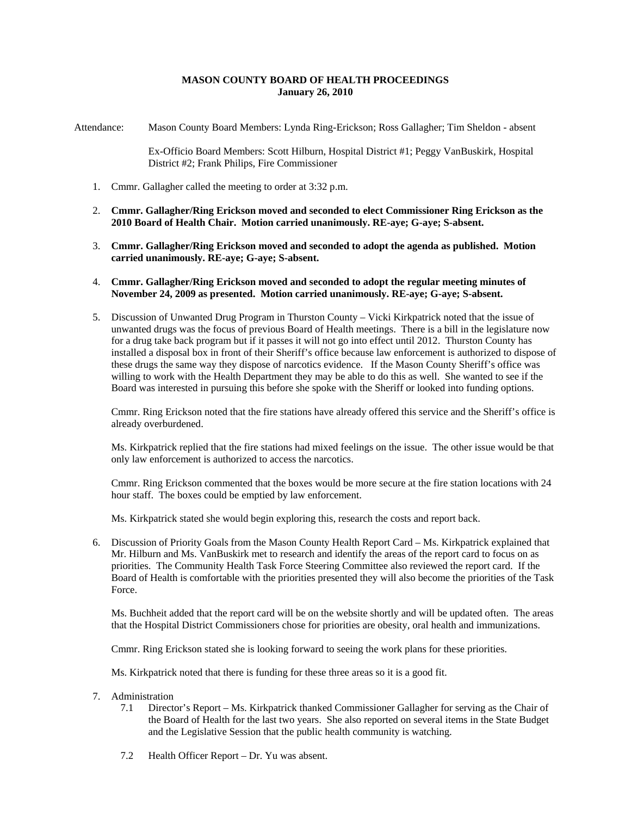## **MASON COUNTY BOARD OF HEALTH PROCEEDINGS January 26, 2010**

Attendance: Mason County Board Members: Lynda Ring-Erickson; Ross Gallagher; Tim Sheldon - absent

Ex-Officio Board Members: Scott Hilburn, Hospital District #1; Peggy VanBuskirk, Hospital District #2; Frank Philips, Fire Commissioner

- 1. Cmmr. Gallagher called the meeting to order at 3:32 p.m.
- 2. **Cmmr. Gallagher/Ring Erickson moved and seconded to elect Commissioner Ring Erickson as the 2010 Board of Health Chair. Motion carried unanimously. RE-aye; G-aye; S-absent.**
- 3. **Cmmr. Gallagher/Ring Erickson moved and seconded to adopt the agenda as published. Motion carried unanimously. RE-aye; G-aye; S-absent.**
- 4. **Cmmr. Gallagher/Ring Erickson moved and seconded to adopt the regular meeting minutes of November 24, 2009 as presented. Motion carried unanimously. RE-aye; G-aye; S-absent.**
- 5. Discussion of Unwanted Drug Program in Thurston County Vicki Kirkpatrick noted that the issue of unwanted drugs was the focus of previous Board of Health meetings. There is a bill in the legislature now for a drug take back program but if it passes it will not go into effect until 2012. Thurston County has installed a disposal box in front of their Sheriff's office because law enforcement is authorized to dispose of these drugs the same way they dispose of narcotics evidence. If the Mason County Sheriff's office was willing to work with the Health Department they may be able to do this as well. She wanted to see if the Board was interested in pursuing this before she spoke with the Sheriff or looked into funding options.

Cmmr. Ring Erickson noted that the fire stations have already offered this service and the Sheriff's office is already overburdened.

Ms. Kirkpatrick replied that the fire stations had mixed feelings on the issue. The other issue would be that only law enforcement is authorized to access the narcotics.

Cmmr. Ring Erickson commented that the boxes would be more secure at the fire station locations with 24 hour staff. The boxes could be emptied by law enforcement.

Ms. Kirkpatrick stated she would begin exploring this, research the costs and report back.

6. Discussion of Priority Goals from the Mason County Health Report Card – Ms. Kirkpatrick explained that Mr. Hilburn and Ms. VanBuskirk met to research and identify the areas of the report card to focus on as priorities. The Community Health Task Force Steering Committee also reviewed the report card. If the Board of Health is comfortable with the priorities presented they will also become the priorities of the Task Force.

Ms. Buchheit added that the report card will be on the website shortly and will be updated often. The areas that the Hospital District Commissioners chose for priorities are obesity, oral health and immunizations.

Cmmr. Ring Erickson stated she is looking forward to seeing the work plans for these priorities.

Ms. Kirkpatrick noted that there is funding for these three areas so it is a good fit.

- 7. Administration
	- 7.1 Director's Report Ms. Kirkpatrick thanked Commissioner Gallagher for serving as the Chair of the Board of Health for the last two years. She also reported on several items in the State Budget and the Legislative Session that the public health community is watching.
	- 7.2 Health Officer Report Dr. Yu was absent.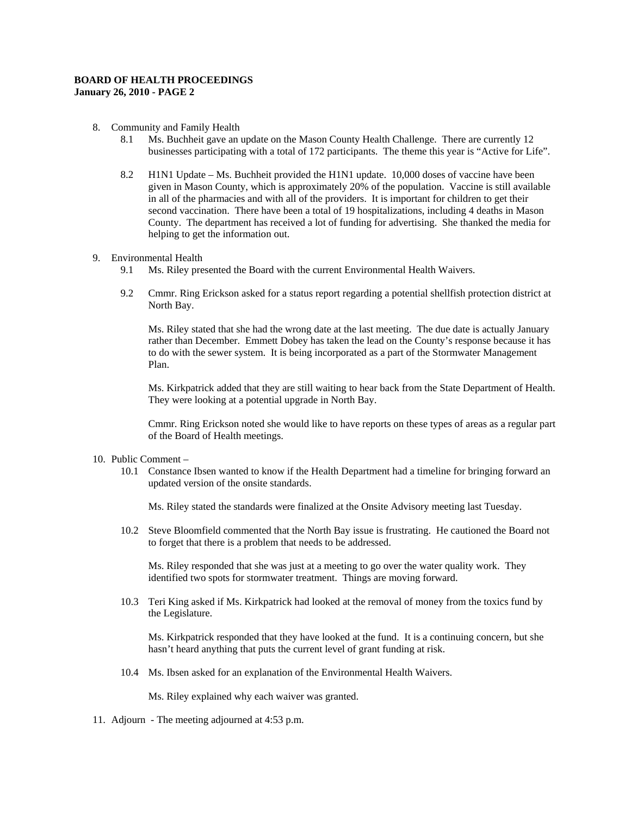## **BOARD OF HEALTH PROCEEDINGS January 26, 2010 - PAGE 2**

#### 8. Community and Family Health

- 8.1 Ms. Buchheit gave an update on the Mason County Health Challenge. There are currently 12 businesses participating with a total of 172 participants. The theme this year is "Active for Life".
- 8.2 H1N1 Update Ms. Buchheit provided the H1N1 update. 10,000 doses of vaccine have been given in Mason County, which is approximately 20% of the population. Vaccine is still available in all of the pharmacies and with all of the providers. It is important for children to get their second vaccination. There have been a total of 19 hospitalizations, including 4 deaths in Mason County. The department has received a lot of funding for advertising. She thanked the media for helping to get the information out.

### 9. Environmental Health

- 9.1 Ms. Riley presented the Board with the current Environmental Health Waivers.
- 9.2 Cmmr. Ring Erickson asked for a status report regarding a potential shellfish protection district at North Bay.

Ms. Riley stated that she had the wrong date at the last meeting. The due date is actually January rather than December. Emmett Dobey has taken the lead on the County's response because it has to do with the sewer system. It is being incorporated as a part of the Stormwater Management Plan.

Ms. Kirkpatrick added that they are still waiting to hear back from the State Department of Health. They were looking at a potential upgrade in North Bay.

Cmmr. Ring Erickson noted she would like to have reports on these types of areas as a regular part of the Board of Health meetings.

#### 10. Public Comment –

10.1 Constance Ibsen wanted to know if the Health Department had a timeline for bringing forward an updated version of the onsite standards.

Ms. Riley stated the standards were finalized at the Onsite Advisory meeting last Tuesday.

10.2 Steve Bloomfield commented that the North Bay issue is frustrating. He cautioned the Board not to forget that there is a problem that needs to be addressed.

Ms. Riley responded that she was just at a meeting to go over the water quality work. They identified two spots for stormwater treatment. Things are moving forward.

10.3 Teri King asked if Ms. Kirkpatrick had looked at the removal of money from the toxics fund by the Legislature.

Ms. Kirkpatrick responded that they have looked at the fund. It is a continuing concern, but she hasn't heard anything that puts the current level of grant funding at risk.

10.4 Ms. Ibsen asked for an explanation of the Environmental Health Waivers.

Ms. Riley explained why each waiver was granted.

11. Adjourn - The meeting adjourned at 4:53 p.m.